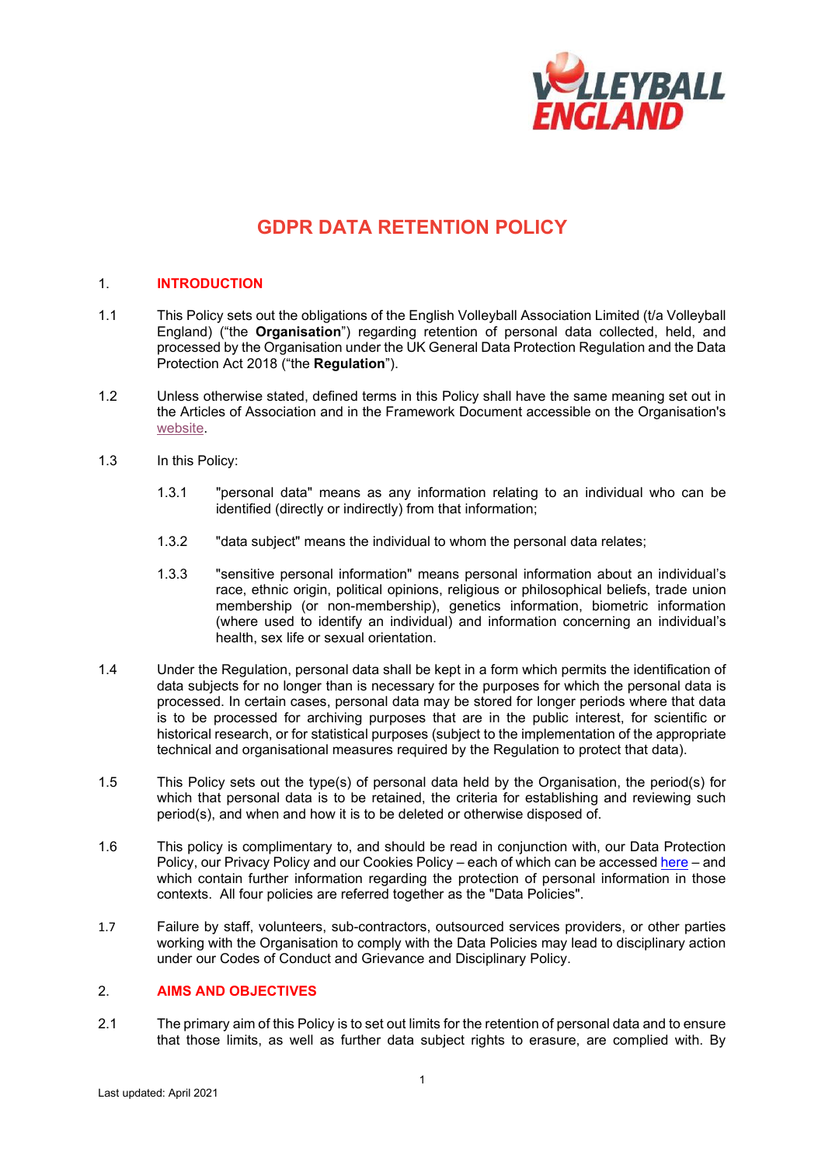

# **GDPR DATA RETENTION POLICY**

## 1. **INTRODUCTION**

- 1.1 This Policy sets out the obligations of the English Volleyball Association Limited (t/a Volleyball England) ("the **Organisation**") regarding retention of personal data collected, held, and processed by the Organisation under the UK General Data Protection Regulation and the Data Protection Act 2018 ("the **Regulation**").
- 1.2 Unless otherwise stated, defined terms in this Policy shall have the same meaning set out in the Articles of Association and in the Framework Document accessible on the Organisation's [website.](http://www.volleyballengland.org/about_us/about_us_/governance)
- 1.3 In this Policy:
	- 1.3.1 "personal data" means as any information relating to an individual who can be identified (directly or indirectly) from that information;
	- 1.3.2 "data subject" means the individual to whom the personal data relates;
	- 1.3.3 "sensitive personal information" means personal information about an individual's race, ethnic origin, political opinions, religious or philosophical beliefs, trade union membership (or non-membership), genetics information, biometric information (where used to identify an individual) and information concerning an individual's health, sex life or sexual orientation.
- 1.4 Under the Regulation, personal data shall be kept in a form which permits the identification of data subjects for no longer than is necessary for the purposes for which the personal data is processed. In certain cases, personal data may be stored for longer periods where that data is to be processed for archiving purposes that are in the public interest, for scientific or historical research, or for statistical purposes (subject to the implementation of the appropriate technical and organisational measures required by the Regulation to protect that data).
- 1.5 This Policy sets out the type(s) of personal data held by the Organisation, the period(s) for which that personal data is to be retained, the criteria for establishing and reviewing such period(s), and when and how it is to be deleted or otherwise disposed of.
- 1.6 This policy is complimentary to, and should be read in conjunction with, our Data Protection Policy, our Privacy Policy and our Cookies Policy – each of which can be accessed [here](https://www.volleyballengland.org/about_us/about_us_/governance) – and which contain further information regarding the protection of personal information in those contexts. All four policies are referred together as the "Data Policies".
- 1.7 Failure by staff, volunteers, sub-contractors, outsourced services providers, or other parties working with the Organisation to comply with the Data Policies may lead to disciplinary action under our Codes of Conduct and Grievance and Disciplinary Policy.

# 2. **AIMS AND OBJECTIVES**

2.1 The primary aim of this Policy is to set out limits for the retention of personal data and to ensure that those limits, as well as further data subject rights to erasure, are complied with. By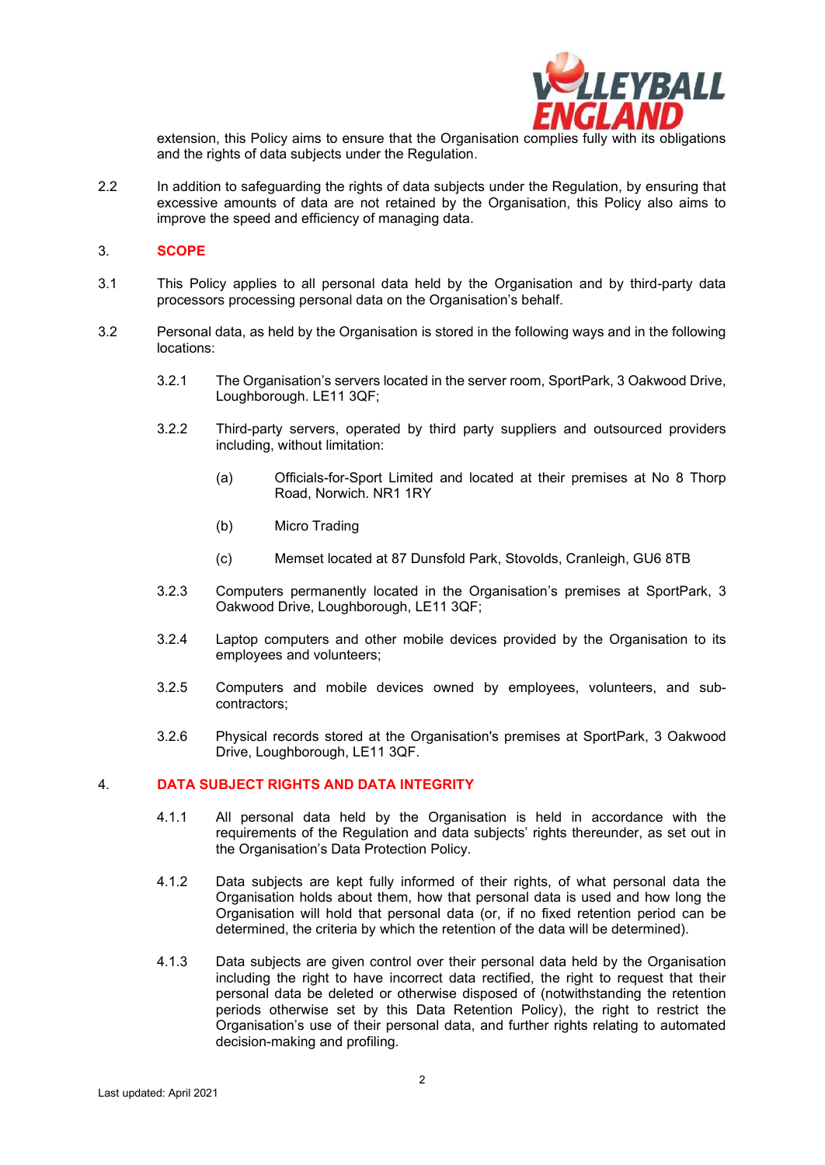

extension, this Policy aims to ensure that the Organisation complies fully with its obligations and the rights of data subjects under the Regulation.

2.2 In addition to safeguarding the rights of data subjects under the Regulation, by ensuring that excessive amounts of data are not retained by the Organisation, this Policy also aims to improve the speed and efficiency of managing data.

#### 3. **SCOPE**

- 3.1 This Policy applies to all personal data held by the Organisation and by third-party data processors processing personal data on the Organisation's behalf.
- 3.2 Personal data, as held by the Organisation is stored in the following ways and in the following locations:
	- 3.2.1 The Organisation's servers located in the server room, SportPark, 3 Oakwood Drive, Loughborough. LE11 3QF;
	- 3.2.2 Third-party servers, operated by third party suppliers and outsourced providers including, without limitation:
		- (a) Officials-for-Sport Limited and located at their premises at No 8 Thorp Road, Norwich. NR1 1RY
		- (b) Micro Trading
		- (c) Memset located at 87 Dunsfold Park, Stovolds, Cranleigh, GU6 8TB
	- 3.2.3 Computers permanently located in the Organisation's premises at SportPark, 3 Oakwood Drive, Loughborough, LE11 3QF;
	- 3.2.4 Laptop computers and other mobile devices provided by the Organisation to its employees and volunteers;
	- 3.2.5 Computers and mobile devices owned by employees, volunteers, and subcontractors;
	- 3.2.6 Physical records stored at the Organisation's premises at SportPark, 3 Oakwood Drive, Loughborough, LE11 3QF.

#### 4. **DATA SUBJECT RIGHTS AND DATA INTEGRITY**

- 4.1.1 All personal data held by the Organisation is held in accordance with the requirements of the Regulation and data subjects' rights thereunder, as set out in the Organisation's Data Protection Policy.
- 4.1.2 Data subjects are kept fully informed of their rights, of what personal data the Organisation holds about them, how that personal data is used and how long the Organisation will hold that personal data (or, if no fixed retention period can be determined, the criteria by which the retention of the data will be determined).
- 4.1.3 Data subjects are given control over their personal data held by the Organisation including the right to have incorrect data rectified, the right to request that their personal data be deleted or otherwise disposed of (notwithstanding the retention periods otherwise set by this Data Retention Policy), the right to restrict the Organisation's use of their personal data, and further rights relating to automated decision-making and profiling.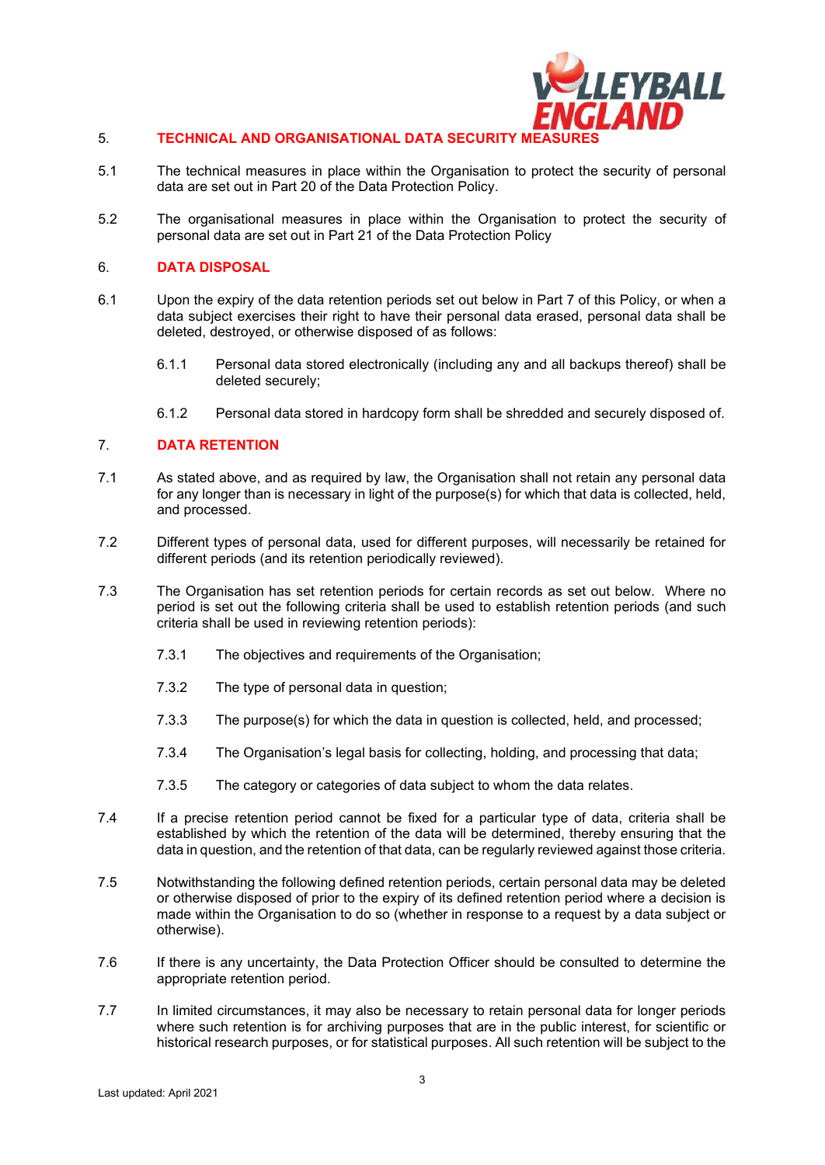

## 5. **TECHNICAL AND ORGANISATIONAL DATA SECURITY M**

- 5.1 The technical measures in place within the Organisation to protect the security of personal data are set out in Part 20 of the Data Protection Policy.
- 5.2 The organisational measures in place within the Organisation to protect the security of personal data are set out in Part 21 of the Data Protection Policy

#### 6. **DATA DISPOSAL**

- 6.1 Upon the expiry of the data retention periods set out below in Part 7 of this Policy, or when a data subject exercises their right to have their personal data erased, personal data shall be deleted, destroyed, or otherwise disposed of as follows:
	- 6.1.1 Personal data stored electronically (including any and all backups thereof) shall be deleted securely;
	- 6.1.2 Personal data stored in hardcopy form shall be shredded and securely disposed of.

### 7. **DATA RETENTION**

- 7.1 As stated above, and as required by law, the Organisation shall not retain any personal data for any longer than is necessary in light of the purpose(s) for which that data is collected, held, and processed.
- 7.2 Different types of personal data, used for different purposes, will necessarily be retained for different periods (and its retention periodically reviewed).
- 7.3 The Organisation has set retention periods for certain records as set out below. Where no period is set out the following criteria shall be used to establish retention periods (and such criteria shall be used in reviewing retention periods):
	- 7.3.1 The objectives and requirements of the Organisation;
	- 7.3.2 The type of personal data in question;
	- 7.3.3 The purpose(s) for which the data in question is collected, held, and processed;
	- 7.3.4 The Organisation's legal basis for collecting, holding, and processing that data;
	- 7.3.5 The category or categories of data subject to whom the data relates.
- 7.4 If a precise retention period cannot be fixed for a particular type of data, criteria shall be established by which the retention of the data will be determined, thereby ensuring that the data in question, and the retention of that data, can be regularly reviewed against those criteria.
- 7.5 Notwithstanding the following defined retention periods, certain personal data may be deleted or otherwise disposed of prior to the expiry of its defined retention period where a decision is made within the Organisation to do so (whether in response to a request by a data subject or otherwise).
- 7.6 If there is any uncertainty, the Data Protection Officer should be consulted to determine the appropriate retention period.
- 7.7 In limited circumstances, it may also be necessary to retain personal data for longer periods where such retention is for archiving purposes that are in the public interest, for scientific or historical research purposes, or for statistical purposes. All such retention will be subject to the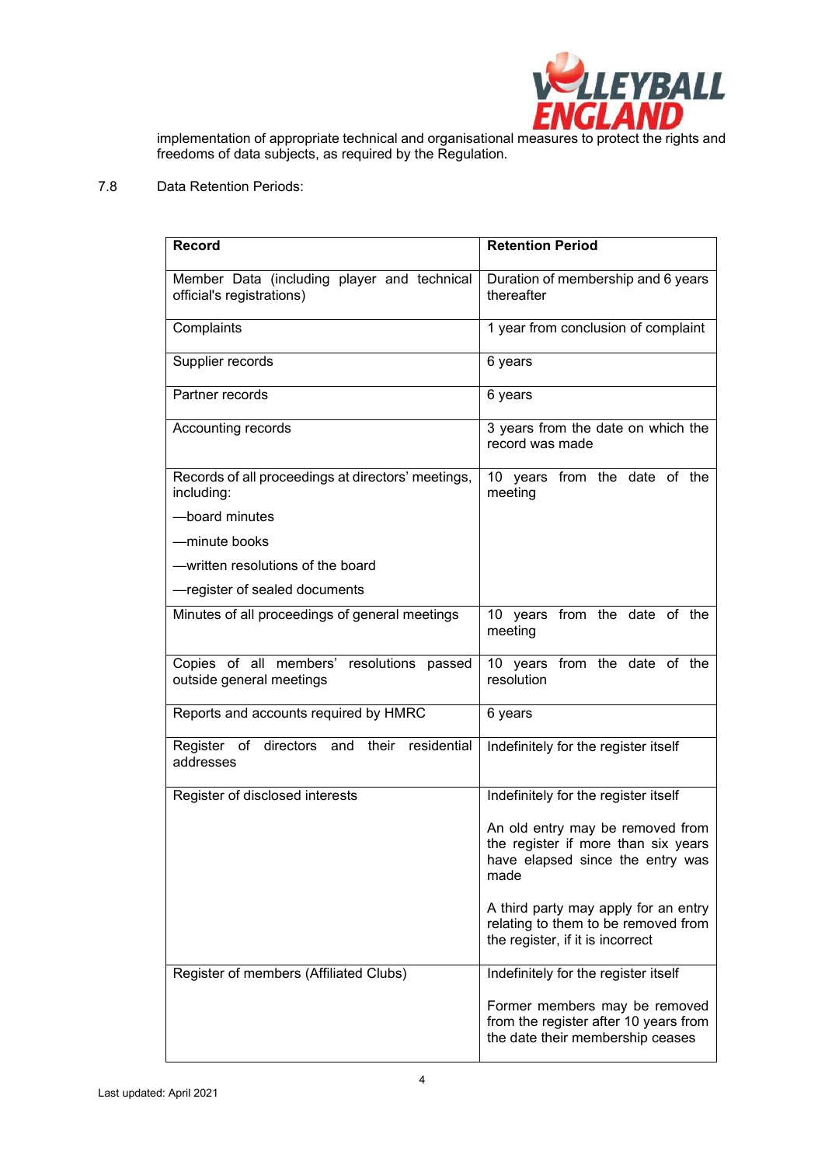

implementation of appropriate technical and organisational measures to protect the rights and freedoms of data subjects, as required by the Regulation.

# 7.8 Data Retention Periods:

| <b>Record</b>                                                            | <b>Retention Period</b>                                                                                             |
|--------------------------------------------------------------------------|---------------------------------------------------------------------------------------------------------------------|
| Member Data (including player and technical<br>official's registrations) | Duration of membership and 6 years<br>thereafter                                                                    |
| Complaints                                                               | 1 year from conclusion of complaint                                                                                 |
| Supplier records                                                         | 6 years                                                                                                             |
| Partner records                                                          | 6 years                                                                                                             |
| Accounting records                                                       | 3 years from the date on which the<br>record was made                                                               |
| Records of all proceedings at directors' meetings,<br>including:         | 10 years from the date of the<br>meeting                                                                            |
| -board minutes                                                           |                                                                                                                     |
| -minute books                                                            |                                                                                                                     |
| - written resolutions of the board                                       |                                                                                                                     |
| -register of sealed documents                                            |                                                                                                                     |
| Minutes of all proceedings of general meetings                           | 10 years from the date of the<br>meeting                                                                            |
| Copies of all members' resolutions passed<br>outside general meetings    | 10 years from the date of the<br>resolution                                                                         |
| Reports and accounts required by HMRC                                    | 6 years                                                                                                             |
| Register of directors and their<br>residential<br>addresses              | Indefinitely for the register itself                                                                                |
| Register of disclosed interests                                          | Indefinitely for the register itself                                                                                |
|                                                                          | An old entry may be removed from<br>the register if more than six years<br>have elapsed since the entry was<br>made |
|                                                                          | A third party may apply for an entry<br>relating to them to be removed from<br>the register, if it is incorrect     |
| Register of members (Affiliated Clubs)                                   | Indefinitely for the register itself                                                                                |
|                                                                          | Former members may be removed<br>from the register after 10 years from<br>the date their membership ceases          |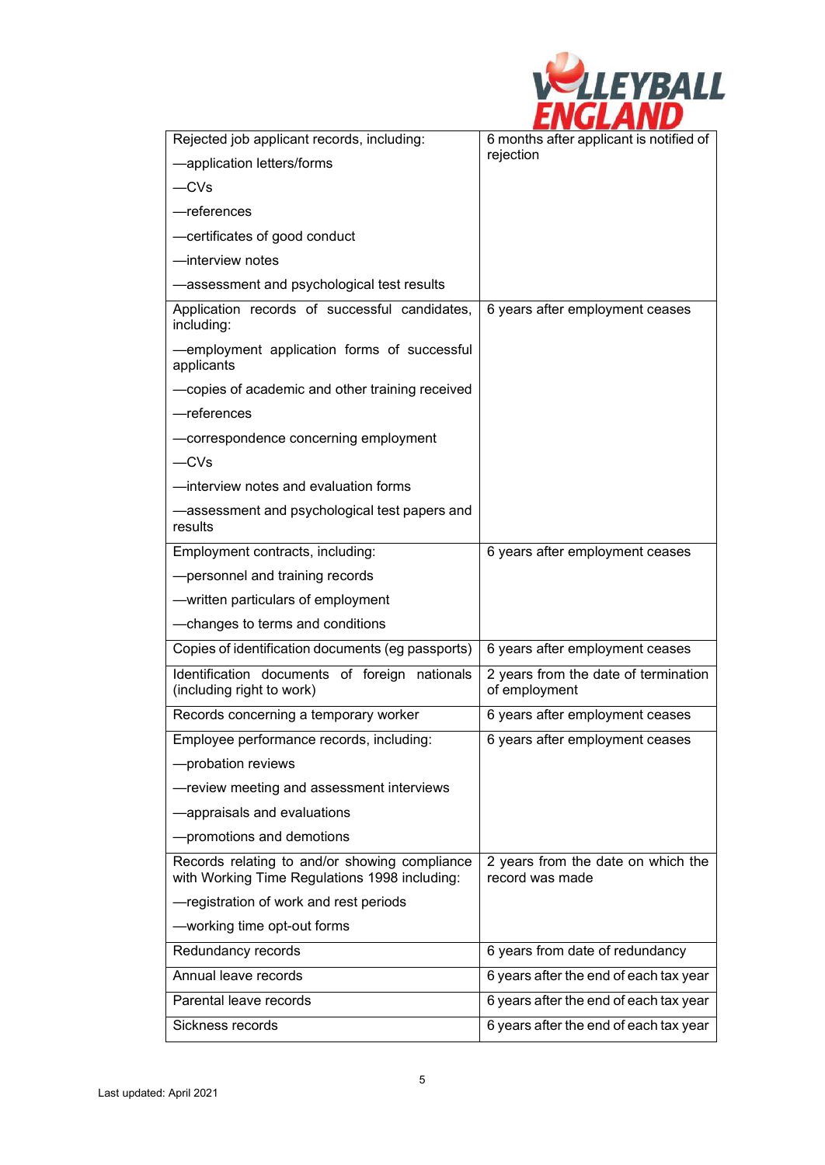| <i><b>ALEYBALL</b></i> |
|------------------------|
|                        |

| Rejected job applicant records, including:                                                     | 6 months after applicant is notified of               |
|------------------------------------------------------------------------------------------------|-------------------------------------------------------|
| -application letters/forms                                                                     | rejection                                             |
| $-CVs$                                                                                         |                                                       |
| -references                                                                                    |                                                       |
| -certificates of good conduct                                                                  |                                                       |
| -interview notes                                                                               |                                                       |
| -assessment and psychological test results                                                     |                                                       |
| Application records of successful candidates,<br>including:                                    | 6 years after employment ceases                       |
| -employment application forms of successful<br>applicants                                      |                                                       |
| -copies of academic and other training received                                                |                                                       |
| -references                                                                                    |                                                       |
| -correspondence concerning employment                                                          |                                                       |
| $-CVs$                                                                                         |                                                       |
| -interview notes and evaluation forms                                                          |                                                       |
| -assessment and psychological test papers and<br>results                                       |                                                       |
| Employment contracts, including:                                                               | 6 years after employment ceases                       |
| -personnel and training records                                                                |                                                       |
| - written particulars of employment                                                            |                                                       |
| -changes to terms and conditions                                                               |                                                       |
| Copies of identification documents (eg passports)                                              | 6 years after employment ceases                       |
| Identification documents of foreign nationals<br>(including right to work)                     | 2 years from the date of termination<br>of employment |
| Records concerning a temporary worker                                                          | 6 years after employment ceases                       |
| Employee performance records, including:                                                       | 6 years after employment ceases                       |
| -probation reviews                                                                             |                                                       |
| -review meeting and assessment interviews                                                      |                                                       |
| -appraisals and evaluations                                                                    |                                                       |
| -promotions and demotions                                                                      |                                                       |
| Records relating to and/or showing compliance<br>with Working Time Regulations 1998 including: | 2 years from the date on which the<br>record was made |
| -registration of work and rest periods                                                         |                                                       |
| -working time opt-out forms                                                                    |                                                       |
| Redundancy records                                                                             | 6 years from date of redundancy                       |
| Annual leave records                                                                           | 6 years after the end of each tax year                |
| Parental leave records                                                                         | 6 years after the end of each tax year                |
| Sickness records                                                                               | 6 years after the end of each tax year                |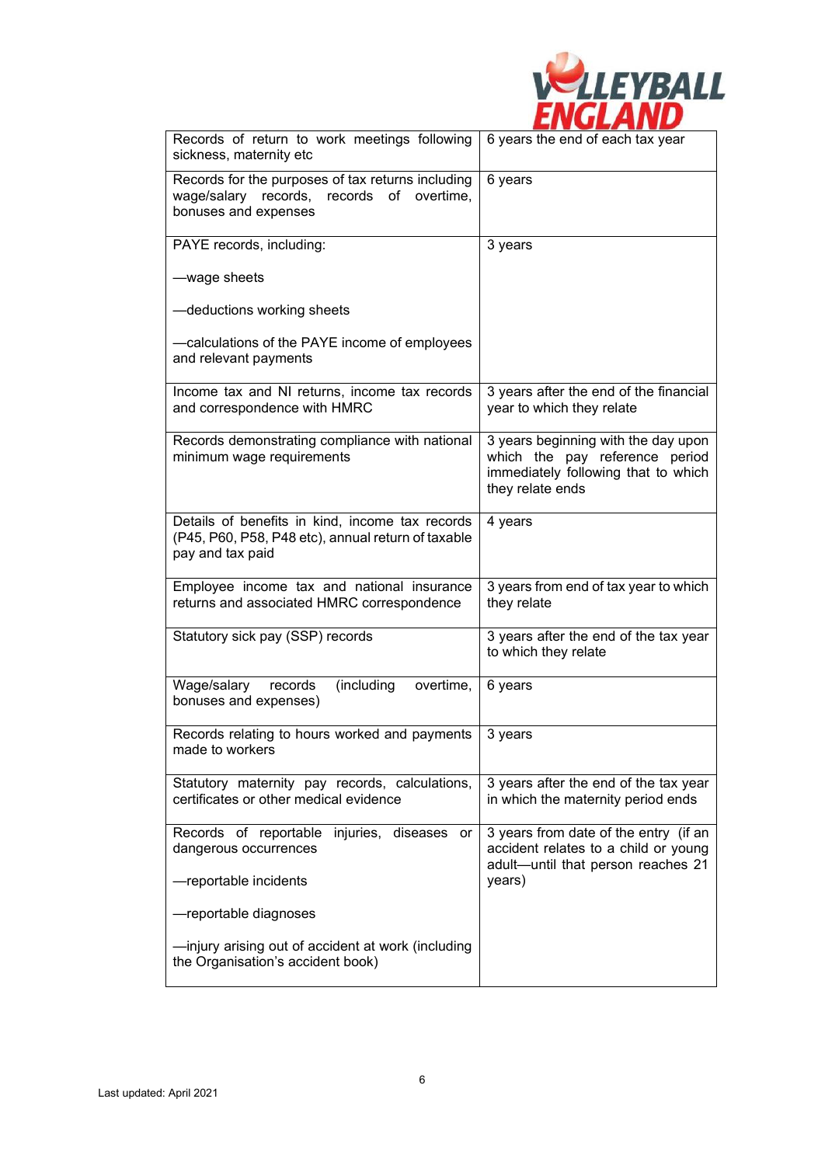

| Records of return to work meetings following<br>sickness, maternity etc                                                   | 6 years the end of each tax year                                                                                                 |
|---------------------------------------------------------------------------------------------------------------------------|----------------------------------------------------------------------------------------------------------------------------------|
| Records for the purposes of tax returns including<br>wage/salary records, records<br>of overtime,<br>bonuses and expenses | 6 years                                                                                                                          |
| PAYE records, including:                                                                                                  | 3 years                                                                                                                          |
| -wage sheets                                                                                                              |                                                                                                                                  |
| -deductions working sheets                                                                                                |                                                                                                                                  |
| -calculations of the PAYE income of employees<br>and relevant payments                                                    |                                                                                                                                  |
| Income tax and NI returns, income tax records<br>and correspondence with HMRC                                             | 3 years after the end of the financial<br>year to which they relate                                                              |
| Records demonstrating compliance with national<br>minimum wage requirements                                               | 3 years beginning with the day upon<br>which the pay reference period<br>immediately following that to which<br>they relate ends |
| Details of benefits in kind, income tax records<br>(P45, P60, P58, P48 etc), annual return of taxable<br>pay and tax paid | 4 years                                                                                                                          |
| Employee income tax and national insurance<br>returns and associated HMRC correspondence                                  | 3 years from end of tax year to which<br>they relate                                                                             |
| Statutory sick pay (SSP) records                                                                                          | 3 years after the end of the tax year<br>to which they relate                                                                    |
| Wage/salary<br>(including<br>records<br>overtime,<br>bonuses and expenses)                                                | 6 years                                                                                                                          |
| Records relating to hours worked and payments<br>made to workers                                                          | 3 years                                                                                                                          |
| Statutory maternity pay records, calculations,<br>certificates or other medical evidence                                  | 3 years after the end of the tax year<br>in which the maternity period ends                                                      |
| Records of reportable injuries, diseases<br>or<br>dangerous occurrences                                                   | 3 years from date of the entry (if an<br>accident relates to a child or young<br>adult-until that person reaches 21              |
| -reportable incidents                                                                                                     | years)                                                                                                                           |
| —reportable diagnoses                                                                                                     |                                                                                                                                  |
| -injury arising out of accident at work (including<br>the Organisation's accident book)                                   |                                                                                                                                  |